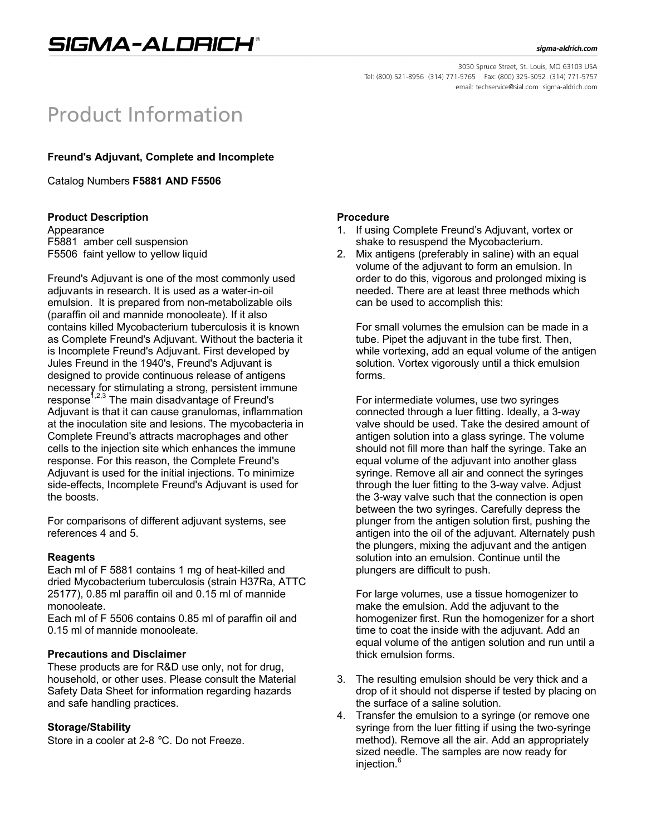# SIGMA-ALDRICH®

3050 Spruce Street, St. Louis, MO 63103 USA Tel: (800) 521-8956 (314) 771-5765 Fax: (800) 325-5052 (314) 771-5757 email: techservice@sial.com sigma-aldrich.com

# **Product Information**

# **Freund's Adjuvant, Complete and Incomplete**

Catalog Numbers **F5881 AND F5506**

## **Product Description**

Appearance F5881 amber cell suspension F5506 faint yellow to yellow liquid

Freund's Adjuvant is one of the most commonly used adjuvants in research. It is used as a water-in-oil emulsion. It is prepared from non-metabolizable oils (paraffin oil and mannide monooleate). If it also contains killed Mycobacterium tuberculosis it is known as Complete Freund's Adjuvant. Without the bacteria it is Incomplete Freund's Adjuvant. First developed by Jules Freund in the 1940's, Freund's Adjuvant is designed to provide continuous release of antigens necessary for stimulating a strong, persistent immune response<sup> $1,2,3$ </sup> The main disadvantage of Freund's Adjuvant is that it can cause granulomas, inflammation at the inoculation site and lesions. The mycobacteria in Complete Freund's attracts macrophages and other cells to the injection site which enhances the immune response. For this reason, the Complete Freund's Adjuvant is used for the initial injections. To minimize side-effects, Incomplete Freund's Adjuvant is used for the boosts.

For comparisons of different adjuvant systems, see references 4 and 5.

#### **Reagents**

Each ml of F 5881 contains 1 mg of heat-killed and dried Mycobacterium tuberculosis (strain H37Ra, ATTC 25177), 0.85 ml paraffin oil and 0.15 ml of mannide monooleate.

Each ml of F 5506 contains 0.85 ml of paraffin oil and 0.15 ml of mannide monooleate.

#### **Precautions and Disclaimer**

These products are for R&D use only, not for drug, household, or other uses. Please consult the Material Safety Data Sheet for information regarding hazards and safe handling practices.

## **Storage/Stability**

Store in a cooler at 2-8 °C. Do not Freeze.

#### **Procedure**

- 1. If using Complete Freund's Adjuvant, vortex or shake to resuspend the Mycobacterium.
- 2. Mix antigens (preferably in saline) with an equal volume of the adjuvant to form an emulsion. In order to do this, vigorous and prolonged mixing is needed. There are at least three methods which can be used to accomplish this:

For small volumes the emulsion can be made in a tube. Pipet the adjuvant in the tube first. Then, while vortexing, add an equal volume of the antigen solution. Vortex vigorously until a thick emulsion forms.

For intermediate volumes, use two syringes connected through a luer fitting. Ideally, a 3-way valve should be used. Take the desired amount of antigen solution into a glass syringe. The volume should not fill more than half the syringe. Take an equal volume of the adjuvant into another glass syringe. Remove all air and connect the syringes through the luer fitting to the 3-way valve. Adjust the 3-way valve such that the connection is open between the two syringes. Carefully depress the plunger from the antigen solution first, pushing the antigen into the oil of the adjuvant. Alternately push the plungers, mixing the adjuvant and the antigen solution into an emulsion. Continue until the plungers are difficult to push.

For large volumes, use a tissue homogenizer to make the emulsion. Add the adjuvant to the homogenizer first. Run the homogenizer for a short time to coat the inside with the adjuvant. Add an equal volume of the antigen solution and run until a thick emulsion forms.

- 3. The resulting emulsion should be very thick and a drop of it should not disperse if tested by placing on the surface of a saline solution.
- 4. Transfer the emulsion to a syringe (or remove one syringe from the luer fitting if using the two-syringe method). Remove all the air. Add an appropriately sized needle. The samples are now ready for injection.<sup>6</sup>